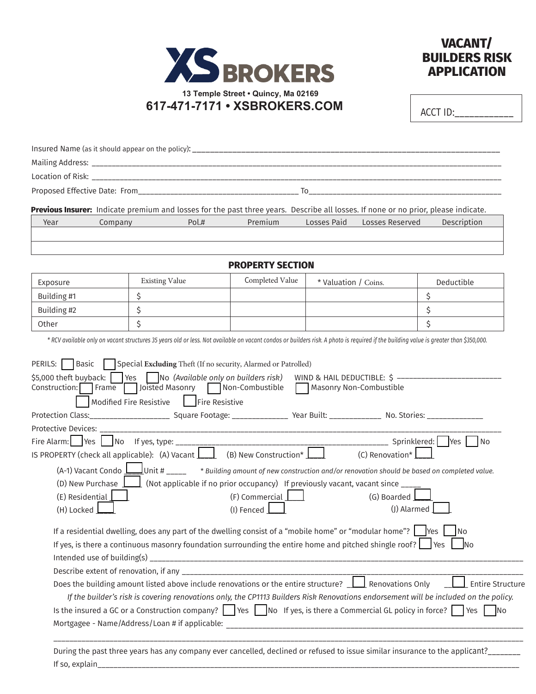



 $ACCT$   $ID:$ 

|                               |         |                                                                                                                                              | Previous Insurer: Indicate premium and losses for the past three years. Describe all losses. If none or no prior, please indicate.                                                                                                                                                                                                                         |                      |                            |                                                                                                                                                                                                                                                                                                                                         |
|-------------------------------|---------|----------------------------------------------------------------------------------------------------------------------------------------------|------------------------------------------------------------------------------------------------------------------------------------------------------------------------------------------------------------------------------------------------------------------------------------------------------------------------------------------------------------|----------------------|----------------------------|-----------------------------------------------------------------------------------------------------------------------------------------------------------------------------------------------------------------------------------------------------------------------------------------------------------------------------------------|
| Year                          | Company | Pol.#                                                                                                                                        | Premium                                                                                                                                                                                                                                                                                                                                                    | Losses Paid          | Losses Reserved            | Description                                                                                                                                                                                                                                                                                                                             |
|                               |         |                                                                                                                                              |                                                                                                                                                                                                                                                                                                                                                            |                      |                            |                                                                                                                                                                                                                                                                                                                                         |
|                               |         |                                                                                                                                              | <b>PROPERTY SECTION</b>                                                                                                                                                                                                                                                                                                                                    |                      |                            |                                                                                                                                                                                                                                                                                                                                         |
| Exposure                      |         | <b>Existing Value</b>                                                                                                                        | Completed Value                                                                                                                                                                                                                                                                                                                                            | * Valuation / Coins. |                            | Deductible                                                                                                                                                                                                                                                                                                                              |
| Building #1                   | \$      |                                                                                                                                              |                                                                                                                                                                                                                                                                                                                                                            |                      |                            | \$                                                                                                                                                                                                                                                                                                                                      |
| Building #2                   | \$      |                                                                                                                                              |                                                                                                                                                                                                                                                                                                                                                            |                      |                            | \$                                                                                                                                                                                                                                                                                                                                      |
| Other                         | \$      |                                                                                                                                              |                                                                                                                                                                                                                                                                                                                                                            |                      |                            | \$                                                                                                                                                                                                                                                                                                                                      |
|                               |         |                                                                                                                                              | * RCV available only on vacant structures 35 years old or less. Not available on vacant condos or builders risk. A photo is required if the building value is greater than \$350,000.                                                                                                                                                                      |                      |                            |                                                                                                                                                                                                                                                                                                                                         |
| <b>Protective Devices:</b>    |         | Modified Fire Resistive   Fire Resistive<br><u> 1989 - Johann John Stone, mars eta bainar</u><br>Fire Alarm:   Yes   No If yes, type: ______ | Protection Class:________________________ Square Footage: ________________ Year Built: _______________ No. Stories: __________________                                                                                                                                                                                                                     |                      |                            |                                                                                                                                                                                                                                                                                                                                         |
|                               |         |                                                                                                                                              | IS PROPERTY (check all applicable): (A) Vacant $\boxed{\underline{\qquad}}$ (B) New Construction* $\boxed{\underline{\qquad}}$                                                                                                                                                                                                                             |                      | (C) Renovation* $\Box$     |                                                                                                                                                                                                                                                                                                                                         |
| (E) Residential<br>(H) Locked |         |                                                                                                                                              | (A-1) Vacant Condo $\underline{\hspace{1cm}}$ Unit # ____ * Building amount of new construction and/or renovation should be based on completed value.<br>(D) New Purchase $\boxed{\phantom{a}}$ (Not applicable if no prior occupancy) If previously vacant, vacant since $\phantom{a}$<br>$(F)$ Commercial<br>(I) Fenced                                  |                      | (G) Boarded<br>(J) Alarmed |                                                                                                                                                                                                                                                                                                                                         |
|                               |         |                                                                                                                                              | If a residential dwelling, does any part of the dwelling consist of a "mobile home" or "modular home"? $\Box$ Yes<br>If yes, is there a continuous masonry foundation surrounding the entire home and pitched shingle roof? $\Box$ Yes<br>Does the building amount listed above include renovations or the entire structure?<br><u>In Renovations</u> Only |                      |                            | <b>No</b><br><b>No</b><br><b>Entire Structure</b><br>If the builder's risk is covering renovations only, the CP1113 Builders Risk Renovations endorsement will be included on the policy.<br>Is the insured a GC or a Construction company? $\Box$ Yes $\Box$ No If yes, is there a Commercial GL policy in force? $\Box$ Yes $\Box$ No |

If so, explain\_\_\_